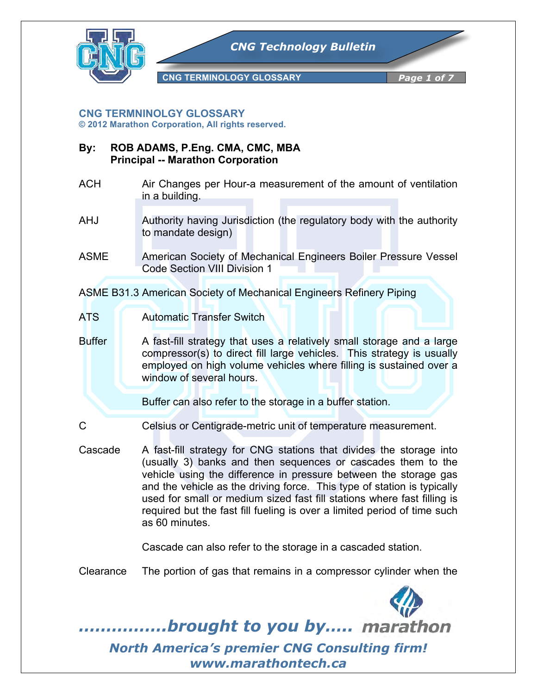

## **CNG TERMNINOLGY GLOSSARY**

**© 2012 Marathon Corporation, All rights reserved.**

- **By: ROB ADAMS, P.Eng. CMA, CMC, MBA Principal -- Marathon Corporation**
- ACH Air Changes per Hour-a measurement of the amount of ventilation in a building.
- AHJ Authority having Jurisdiction (the regulatory body with the authority to mandate design)
- ASME American Society of Mechanical Engineers Boiler Pressure Vessel Code Section VIII Division 1

ASME B31.3 American Society of Mechanical Engineers Refinery Piping

ATS Automatic Transfer Switch

Buffer A fast-fill strategy that uses a relatively small storage and a large compressor(s) to direct fill large vehicles. This strategy is usually employed on high volume vehicles where filling is sustained over a window of several hours.

Buffer can also refer to the storage in a buffer station.

- C Celsius or Centigrade-metric unit of temperature measurement.
- Cascade A fast-fill strategy for CNG stations that divides the storage into (usually 3) banks and then sequences or cascades them to the vehicle using the difference in pressure between the storage gas and the vehicle as the driving force. This type of station is typically used for small or medium sized fast fill stations where fast filling is required but the fast fill fueling is over a limited period of time such as 60 minutes.

Cascade can also refer to the storage in a cascaded station.

Clearance The portion of gas that remains in a compressor cylinder when the



*…………….brought to you by…..*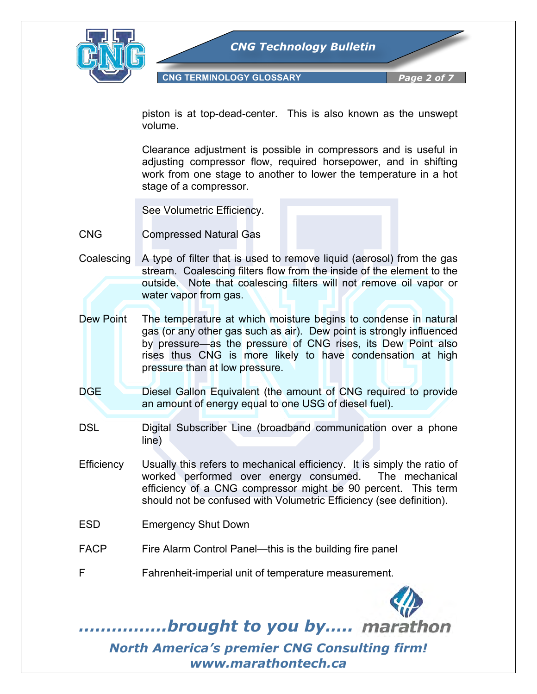

**CNG TERMINOLOGY GLOSSARY** *Page 2 of* 

piston is at top-dead-center. This is also known as the unswept volume.

Clearance adjustment is possible in compressors and is useful in adjusting compressor flow, required horsepower, and in shifting work from one stage to another to lower the temperature in a hot stage of a compressor.

See Volumetric Efficiency.

- CNG Compressed Natural Gas
- Coalescing A type of filter that is used to remove liquid (aerosol) from the gas stream. Coalescing filters flow from the inside of the element to the outside. Note that coalescing filters will not remove oil vapor or water vapor from gas.
- Dew Point The temperature at which moisture begins to condense in natural gas (or any other gas such as air). Dew point is strongly influenced by pressure—as the pressure of CNG rises, its Dew Point also rises thus CNG is more likely to have condensation at high pressure than at low pressure.
- DGE Diesel Gallon Equivalent (the amount of CNG required to provide an amount of energy equal to one USG of diesel fuel).
- DSL Digital Subscriber Line (broadband communication over a phone line)
- Efficiency Usually this refers to mechanical efficiency. It is simply the ratio of worked performed over energy consumed. The mechanical efficiency of a CNG compressor might be 90 percent. This term should not be confused with Volumetric Efficiency (see definition).
- ESD Emergency Shut Down
- FACP Fire Alarm Control Panel—this is the building fire panel
- F Fahrenheit-imperial unit of temperature measurement.

*…………….brought to you by…..*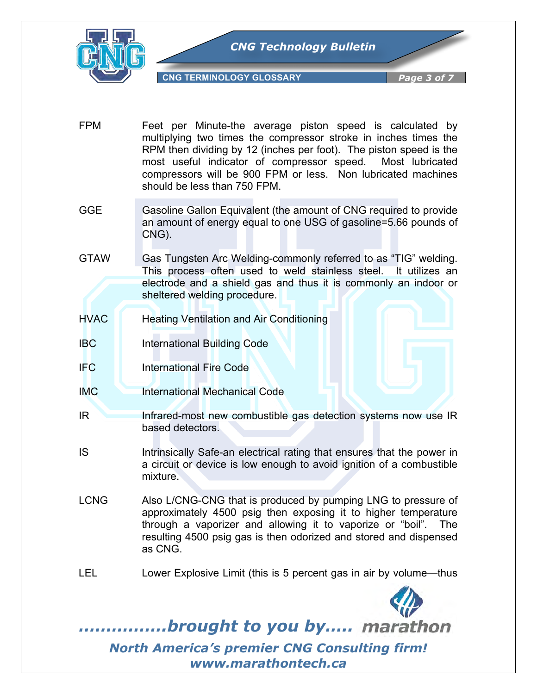

- FPM Feet per Minute-the average piston speed is calculated by multiplying two times the compressor stroke in inches times the RPM then dividing by 12 (inches per foot). The piston speed is the most useful indicator of compressor speed. Most lubricated compressors will be 900 FPM or less. Non lubricated machines should be less than 750 FPM.
- GGE Gasoline Gallon Equivalent (the amount of CNG required to provide an amount of energy equal to one USG of gasoline=5.66 pounds of CNG).
- GTAW Gas Tungsten Arc Welding-commonly referred to as "TIG" welding. This process often used to weld stainless steel. It utilizes an electrode and a shield gas and thus it is commonly an indoor or sheltered welding procedure.
- HVAC Heating Ventilation and Air Conditioning
- **IBC** International Building Code
- IFC International Fire Code
- IMC International Mechanical Code
- IR Infrared-most new combustible gas detection systems now use IR based detectors.
- IS Intrinsically Safe-an electrical rating that ensures that the power in a circuit or device is low enough to avoid ignition of a combustible mixture.
- LCNG Also L/CNG-CNG that is produced by pumping LNG to pressure of approximately 4500 psig then exposing it to higher temperature through a vaporizer and allowing it to vaporize or "boil". The resulting 4500 psig gas is then odorized and stored and dispensed as CNG.
- LEL Lower Explosive Limit (this is 5 percent gas in air by volume—thus



*…………….brought to you by…..*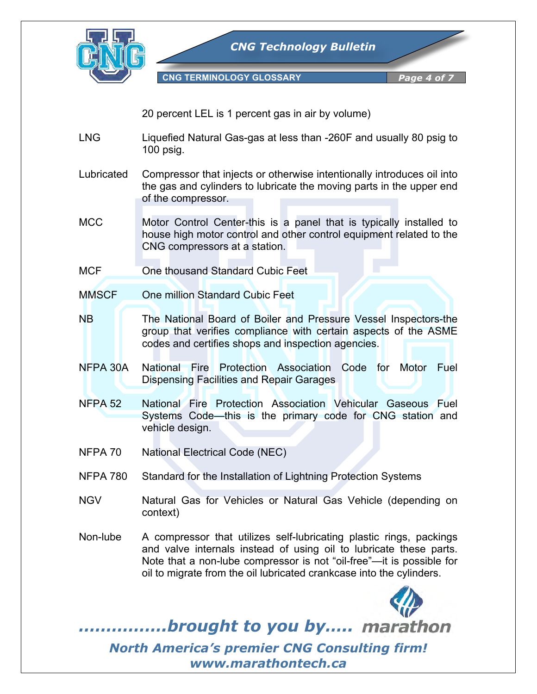

*CNG Technology Bulletin*

**CNG TERMINOLOGY GLOSSARY** *Page 4 of* 

20 percent LEL is 1 percent gas in air by volume)

- LNG Liquefied Natural Gas-gas at less than -260F and usually 80 psig to 100 psig.
- Lubricated Compressor that injects or otherwise intentionally introduces oil into the gas and cylinders to lubricate the moving parts in the upper end of the compressor.
- MCC Motor Control Center-this is a panel that is typically installed to house high motor control and other control equipment related to the CNG compressors at a station.
- MCF **One thousand Standard Cubic Feet**
- MMSCF One million Standard Cubic Feet
- NB The National Board of Boiler and Pressure Vessel Inspectors-the group that verifies compliance with certain aspects of the ASME codes and certifies shops and inspection agencies.
- NFPA 30A National Fire Protection Association Code for Motor Fuel Dispensing Facilities and Repair Garages
- NFPA 52 National Fire Protection Association Vehicular Gaseous Fuel Systems Code—this is the primary code for CNG station and vehicle design.
- NFPA 70 National Electrical Code (NEC)
- NFPA 780 Standard for the Installation of Lightning Protection Systems
- NGV Natural Gas for Vehicles or Natural Gas Vehicle (depending on context)
- Non-lube A compressor that utilizes self-lubricating plastic rings, packings and valve internals instead of using oil to lubricate these parts. Note that a non-lube compressor is not "oil-free"—it is possible for oil to migrate from the oil lubricated crankcase into the cylinders.



*…………….brought to you by…..*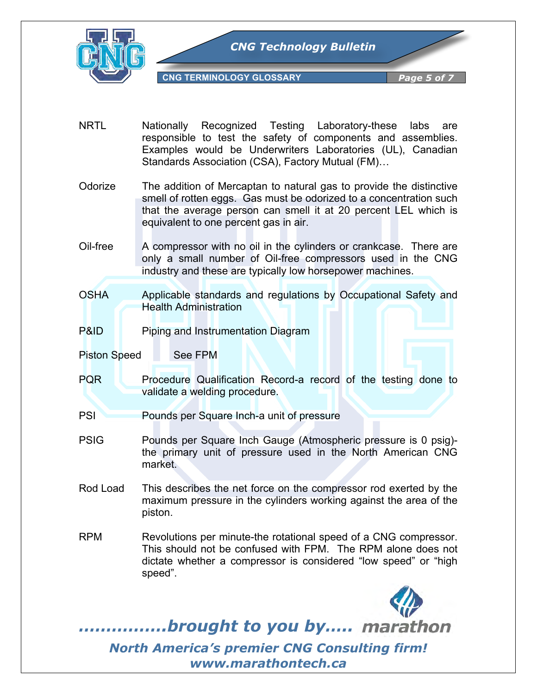

- NRTL Nationally Recognized Testing Laboratory-these labs are responsible to test the safety of components and assemblies. Examples would be Underwriters Laboratories (UL), Canadian Standards Association (CSA), Factory Mutual (FM)…
- Odorize The addition of Mercaptan to natural gas to provide the distinctive smell of rotten eggs. Gas must be odorized to a concentration such that the average person can smell it at 20 percent LEL which is equivalent to one percent gas in air.
- Oil-free A compressor with no oil in the cylinders or crankcase. There are only a small number of Oil-free compressors used in the CNG industry and these are typically low horsepower machines.
- OSHA Applicable standards and regulations by Occupational Safety and Health Administration
- P&ID Piping and Instrumentation Diagram
- Piston Speed See FPM
- PQR Procedure Qualification Record-a record of the testing done to validate a welding procedure.
- **PSI** Pounds per Square Inch-a unit of pressure
- PSIG Pounds per Square Inch Gauge (Atmospheric pressure is 0 psig) the primary unit of pressure used in the North American CNG market.
- Rod Load This describes the net force on the compressor rod exerted by the maximum pressure in the cylinders working against the area of the piston.
- RPM Revolutions per minute-the rotational speed of a CNG compressor. This should not be confused with FPM. The RPM alone does not dictate whether a compressor is considered "low speed" or "high speed".



*…………….brought to you by…..*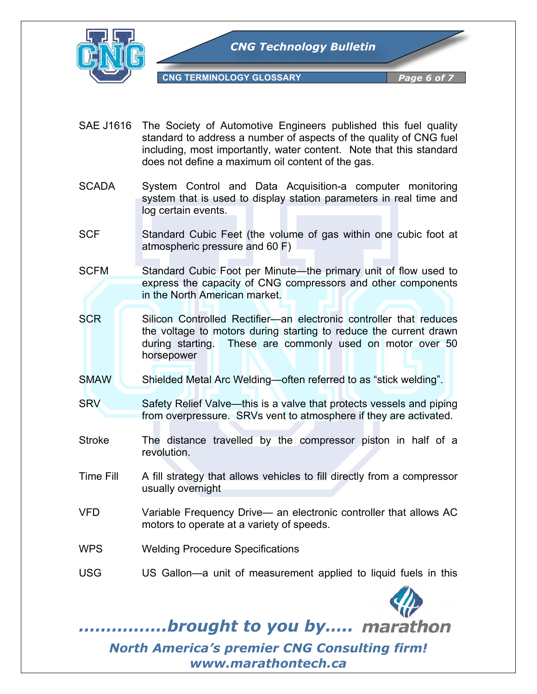

- SAE J1616 The Society of Automotive Engineers published this fuel quality standard to address a number of aspects of the quality of CNG fuel including, most importantly, water content. Note that this standard does not define a maximum oil content of the gas.
- SCADA System Control and Data Acquisition-a computer monitoring system that is used to display station parameters in real time and log certain events.
- SCF Standard Cubic Feet (the volume of gas within one cubic foot at atmospheric pressure and 60 F)
- SCFM Standard Cubic Foot per Minute—the primary unit of flow used to express the capacity of CNG compressors and other components in the North American market.
- SCR Silicon Controlled Rectifier—an electronic controller that reduces the voltage to motors during starting to reduce the current drawn during starting. These are commonly used on motor over 50 horsepower
- SMAW Shielded Metal Arc Welding—often referred to as "stick welding".
- SRV Safety Relief Valve—this is a valve that protects vessels and piping from overpressure. SRVs vent to atmosphere if they are activated.
- Stroke The distance travelled by the compressor piston in half of a revolution.
- Time Fill A fill strategy that allows vehicles to fill directly from a compressor usually overnight
- VFD Variable Frequency Drive— an electronic controller that allows AC motors to operate at a variety of speeds.
- WPS Welding Procedure Specifications
- USG US Gallon—a unit of measurement applied to liquid fuels in this



*…………….brought to you by…..*